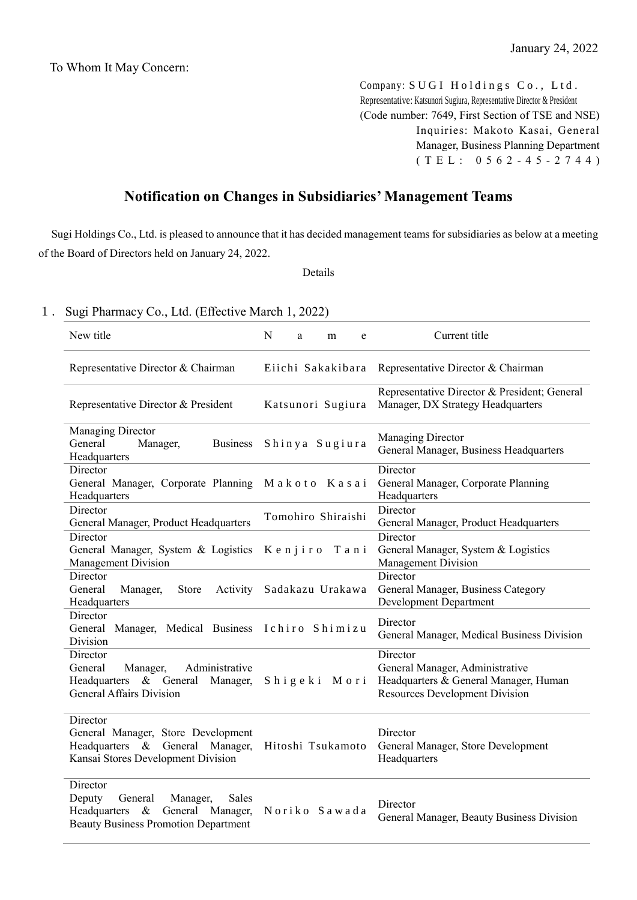Company: SUGI Holdings Co., Ltd. Representative: Katsunori Sugiura, Representative Director & President (Code number: 7649, First Section of TSE and NSE) Inquiries: Makoto Kasai, General Manager, Business Planning Department ( T E L : 0 5 6 2 - 4 5 - 2 7 4 4 )

## **Notification on Changes in Subsidiaries' Management Teams**

Sugi Holdings Co., Ltd. is pleased to announce that it has decided management teams for subsidiaries as below at a meeting of the Board of Directors held on January 24, 2022.

## Details

## 1.Sugi Pharmacy Co., Ltd. (Effective March 1, 2022)

| New title                                                                                                                                     | N | a | m                  | e | Current title                                                                                                                 |
|-----------------------------------------------------------------------------------------------------------------------------------------------|---|---|--------------------|---|-------------------------------------------------------------------------------------------------------------------------------|
| Representative Director & Chairman                                                                                                            |   |   | Eiichi Sakakibara  |   | Representative Director & Chairman                                                                                            |
| Representative Director & President                                                                                                           |   |   | Katsunori Sugiura  |   | Representative Director & President; General<br>Manager, DX Strategy Headquarters                                             |
| <b>Managing Director</b><br>General<br>Manager,<br><b>Business</b><br>Headquarters                                                            |   |   | Shinya Sugiura     |   | Managing Director<br>General Manager, Business Headquarters                                                                   |
| Director<br>General Manager, Corporate Planning Makoto Kasai<br>Headquarters                                                                  |   |   |                    |   | Director<br>General Manager, Corporate Planning<br>Headquarters                                                               |
| Director<br>General Manager, Product Headquarters                                                                                             |   |   | Tomohiro Shiraishi |   | Director<br>General Manager, Product Headquarters                                                                             |
| Director<br>General Manager, System & Logistics<br>Management Division                                                                        |   |   | Kenjiro Tani       |   | Director<br>General Manager, System & Logistics<br>Management Division                                                        |
| Director<br>General<br>Store<br>Activity<br>Manager,<br>Headquarters                                                                          |   |   | Sadakazu Urakawa   |   | Director<br>General Manager, Business Category<br><b>Development Department</b>                                               |
| Director<br>General Manager, Medical Business Ichiro Shimizu<br>Division                                                                      |   |   |                    |   | Director<br>General Manager, Medical Business Division                                                                        |
| Director<br>Administrative<br>General<br>Manager,<br>Headquarters & General Manager,<br><b>General Affairs Division</b>                       |   |   | Shigeki Mori       |   | Director<br>General Manager, Administrative<br>Headquarters & General Manager, Human<br><b>Resources Development Division</b> |
| Director<br>General Manager, Store Development<br>Headquarters & General Manager,<br>Kansai Stores Development Division                       |   |   | Hitoshi Tsukamoto  |   | Director<br>General Manager, Store Development<br>Headquarters                                                                |
| Director<br>Sales<br>Deputy<br>General<br>Manager,<br>$\&$<br>General Manager,<br>Headquarters<br><b>Beauty Business Promotion Department</b> |   |   | Noriko Sawada      |   | Director<br>General Manager, Beauty Business Division                                                                         |